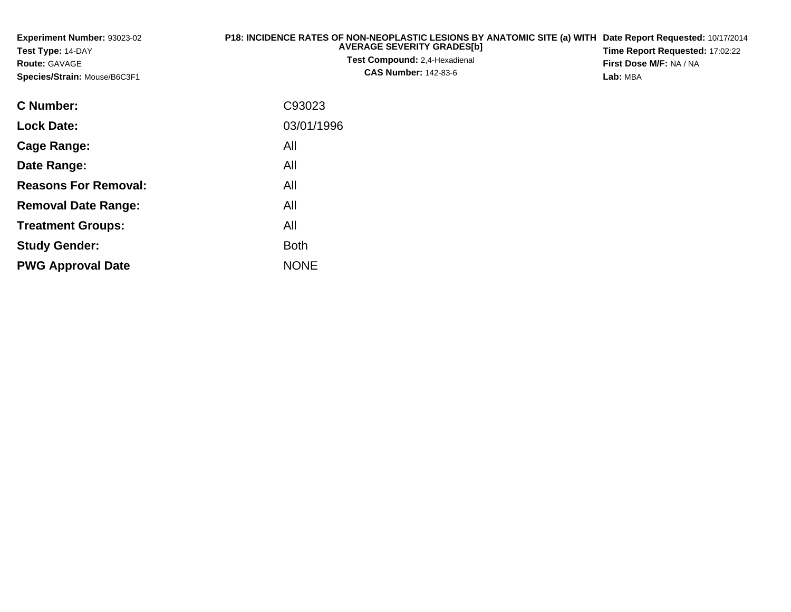| Experiment Number: 93023-02<br>Test Type: 14-DAY<br><b>Route: GAVAGE</b><br>Species/Strain: Mouse/B6C3F1 | P18: INCIDENCE RATES OF NON-NEOPLASTIC LESIONS BY ANATOMIC SITE (a) WITH<br><b>AVERAGE SEVERITY GRADES[b]</b><br>Test Compound: 2,4-Hexadienal<br><b>CAS Number: 142-83-6</b> | Date Report Requested: 10/17/2014<br>Time Report Requested: 17:02:22<br>First Dose M/F: NA / NA<br>Lab: MBA |
|----------------------------------------------------------------------------------------------------------|-------------------------------------------------------------------------------------------------------------------------------------------------------------------------------|-------------------------------------------------------------------------------------------------------------|
| C Number:                                                                                                | C93023                                                                                                                                                                        |                                                                                                             |
| <b>Lock Date:</b>                                                                                        | 03/01/1996                                                                                                                                                                    |                                                                                                             |
| Cage Range:                                                                                              | All                                                                                                                                                                           |                                                                                                             |
| Date Range:                                                                                              | All                                                                                                                                                                           |                                                                                                             |
| <b>Reasons For Removal:</b>                                                                              | All                                                                                                                                                                           |                                                                                                             |
| <b>Removal Date Range:</b>                                                                               | All                                                                                                                                                                           |                                                                                                             |
| <b>Treatment Groups:</b>                                                                                 | All                                                                                                                                                                           |                                                                                                             |
| <b>Study Gender:</b>                                                                                     | <b>Both</b>                                                                                                                                                                   |                                                                                                             |

e NONE

**PWG Approval Date**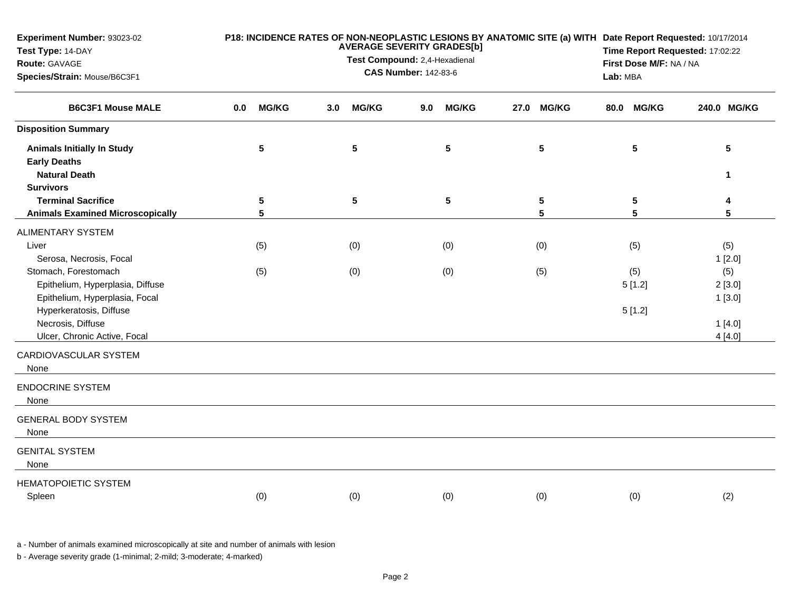| Experiment Number: 93023-02<br>Test Type: 14-DAY<br>Route: GAVAGE                          |     | P18: INCIDENCE RATES OF NON-NEOPLASTIC LESIONS BY ANATOMIC SITE (a) WITH Date Report Requested: 10/17/2014<br><b>AVERAGE SEVERITY GRADES[b]</b><br>Test Compound: 2,4-Hexadienal |     |              |     |              |      |                      |      |               | Time Report Requested: 17:02:22<br>First Dose M/F: NA / NA |                         |  |
|--------------------------------------------------------------------------------------------|-----|----------------------------------------------------------------------------------------------------------------------------------------------------------------------------------|-----|--------------|-----|--------------|------|----------------------|------|---------------|------------------------------------------------------------|-------------------------|--|
| Species/Strain: Mouse/B6C3F1<br><b>B6C3F1 Mouse MALE</b>                                   |     | <b>CAS Number: 142-83-6</b>                                                                                                                                                      |     |              |     |              |      |                      |      | Lab: MBA      |                                                            |                         |  |
|                                                                                            | 0.0 | <b>MG/KG</b>                                                                                                                                                                     | 3.0 | <b>MG/KG</b> | 9.0 | <b>MG/KG</b> | 27.0 | <b>MG/KG</b>         | 80.0 | <b>MG/KG</b>  |                                                            | 240.0 MG/KG             |  |
| <b>Disposition Summary</b>                                                                 |     |                                                                                                                                                                                  |     |              |     |              |      |                      |      |               |                                                            |                         |  |
| <b>Animals Initially In Study</b><br><b>Early Deaths</b>                                   |     | 5                                                                                                                                                                                |     | ${\bf 5}$    |     | 5            |      | $5\phantom{.0}$      |      | 5             |                                                            | $5\phantom{.0}$         |  |
| <b>Natural Death</b><br><b>Survivors</b>                                                   |     |                                                                                                                                                                                  |     |              |     |              |      |                      |      |               |                                                            | $\blacktriangleleft$    |  |
| <b>Terminal Sacrifice</b><br><b>Animals Examined Microscopically</b>                       |     | 5<br>5                                                                                                                                                                           |     | 5            |     | 5            |      | $5\phantom{.0}$<br>5 |      | 5<br>5        |                                                            | 4<br>5                  |  |
| <b>ALIMENTARY SYSTEM</b>                                                                   |     |                                                                                                                                                                                  |     |              |     |              |      |                      |      |               |                                                            |                         |  |
| Liver<br>Serosa, Necrosis, Focal                                                           |     | (5)                                                                                                                                                                              |     | (0)          |     | (0)          |      | (0)                  |      | (5)           |                                                            | (5)<br>1[2.0]           |  |
| Stomach, Forestomach<br>Epithelium, Hyperplasia, Diffuse<br>Epithelium, Hyperplasia, Focal |     | (5)                                                                                                                                                                              |     | (0)          |     | (0)          |      | (5)                  |      | (5)<br>5[1.2] |                                                            | (5)<br>2[3.0]<br>1[3.0] |  |
| Hyperkeratosis, Diffuse<br>Necrosis, Diffuse                                               |     |                                                                                                                                                                                  |     |              |     |              |      |                      |      | 5[1.2]        |                                                            | 1[4.0]                  |  |
| Ulcer, Chronic Active, Focal                                                               |     |                                                                                                                                                                                  |     |              |     |              |      |                      |      |               |                                                            | 4[4.0]                  |  |
| CARDIOVASCULAR SYSTEM<br>None                                                              |     |                                                                                                                                                                                  |     |              |     |              |      |                      |      |               |                                                            |                         |  |
| <b>ENDOCRINE SYSTEM</b><br>None                                                            |     |                                                                                                                                                                                  |     |              |     |              |      |                      |      |               |                                                            |                         |  |
| <b>GENERAL BODY SYSTEM</b><br>None                                                         |     |                                                                                                                                                                                  |     |              |     |              |      |                      |      |               |                                                            |                         |  |
| <b>GENITAL SYSTEM</b><br>None                                                              |     |                                                                                                                                                                                  |     |              |     |              |      |                      |      |               |                                                            |                         |  |
| <b>HEMATOPOIETIC SYSTEM</b><br>Spleen                                                      |     | (0)                                                                                                                                                                              |     | (0)          |     | (0)          |      | (0)                  |      | (0)           |                                                            | (2)                     |  |

a - Number of animals examined microscopically at site and number of animals with lesion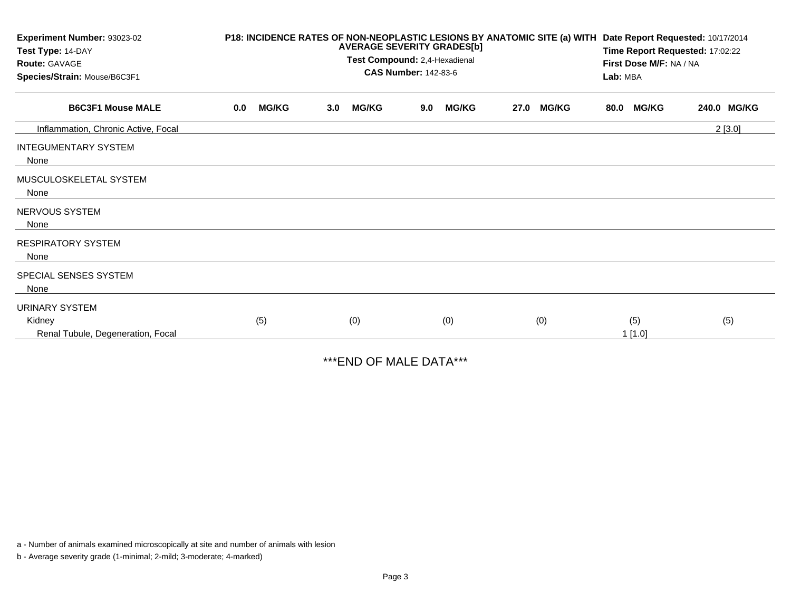| Experiment Number: 93023-02<br>Test Type: 14-DAY<br>Route: GAVAGE<br>Species/Strain: Mouse/B6C3F1 |     |              |     | <b>AVERAGE SEVERITY GRADES[b]</b><br>Test Compound: 2,4-Hexadienal | <b>CAS Number: 142-83-6</b> |              |      | P18: INCIDENCE RATES OF NON-NEOPLASTIC LESIONS BY ANATOMIC SITE (a) WITH | Date Report Requested: 10/17/2014<br>Time Report Requested: 17:02:22<br>First Dose M/F: NA / NA<br>Lab: MBA |                  |             |  |
|---------------------------------------------------------------------------------------------------|-----|--------------|-----|--------------------------------------------------------------------|-----------------------------|--------------|------|--------------------------------------------------------------------------|-------------------------------------------------------------------------------------------------------------|------------------|-------------|--|
| <b>B6C3F1 Mouse MALE</b>                                                                          | 0.0 | <b>MG/KG</b> | 3.0 | <b>MG/KG</b>                                                       | 9.0                         | <b>MG/KG</b> | 27.0 | <b>MG/KG</b>                                                             | 80.0                                                                                                        | <b>MG/KG</b>     | 240.0 MG/KG |  |
| Inflammation, Chronic Active, Focal                                                               |     |              |     |                                                                    |                             |              |      |                                                                          |                                                                                                             |                  | 2[3.0]      |  |
| <b>INTEGUMENTARY SYSTEM</b><br>None                                                               |     |              |     |                                                                    |                             |              |      |                                                                          |                                                                                                             |                  |             |  |
| MUSCULOSKELETAL SYSTEM<br>None                                                                    |     |              |     |                                                                    |                             |              |      |                                                                          |                                                                                                             |                  |             |  |
| NERVOUS SYSTEM<br>None                                                                            |     |              |     |                                                                    |                             |              |      |                                                                          |                                                                                                             |                  |             |  |
| <b>RESPIRATORY SYSTEM</b><br>None                                                                 |     |              |     |                                                                    |                             |              |      |                                                                          |                                                                                                             |                  |             |  |
| SPECIAL SENSES SYSTEM<br>None                                                                     |     |              |     |                                                                    |                             |              |      |                                                                          |                                                                                                             |                  |             |  |
| <b>URINARY SYSTEM</b>                                                                             |     |              |     |                                                                    |                             |              |      |                                                                          |                                                                                                             |                  |             |  |
| Kidney<br>Renal Tubule, Degeneration, Focal                                                       |     | (5)          |     | (0)                                                                |                             | (0)          |      | (0)                                                                      |                                                                                                             | (5)<br>$1$ [1.0] | (5)         |  |

\*\*\*END OF MALE DATA\*\*\*

a - Number of animals examined microscopically at site and number of animals with lesion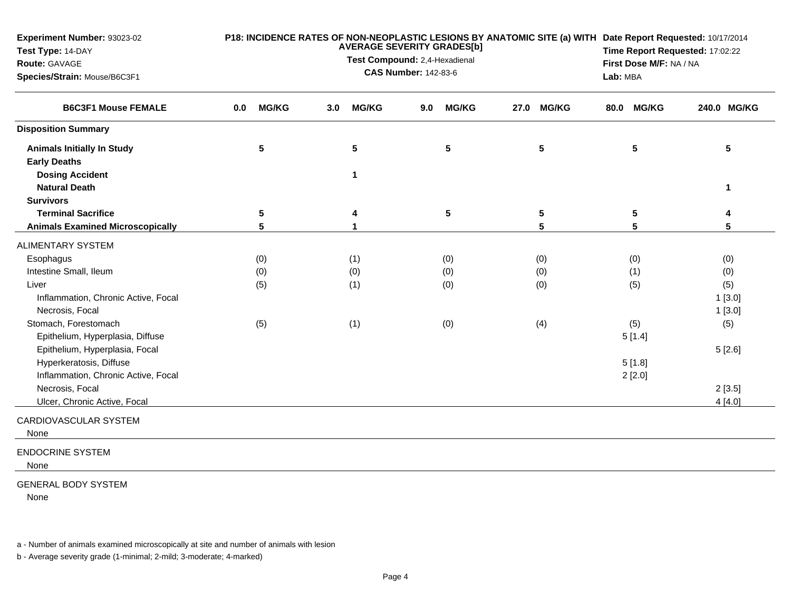| Experiment Number: 93023-02<br>Test Type: 14-DAY<br>Route: GAVAGE<br>Species/Strain: Mouse/B6C3F1 |                     |                     | <b>AVERAGE SEVERITY GRADES[b]</b><br>Test Compound: 2,4-Hexadienal<br><b>CAS Number: 142-83-6</b> | P18: INCIDENCE RATES OF NON-NEOPLASTIC LESIONS BY ANATOMIC SITE (a) WITH Date Report Requested: 10/17/2014 | Time Report Requested: 17:02:22<br>First Dose M/F: NA / NA<br>Lab: MBA |                  |  |  |  |
|---------------------------------------------------------------------------------------------------|---------------------|---------------------|---------------------------------------------------------------------------------------------------|------------------------------------------------------------------------------------------------------------|------------------------------------------------------------------------|------------------|--|--|--|
| <b>B6C3F1 Mouse FEMALE</b>                                                                        | <b>MG/KG</b><br>0.0 | <b>MG/KG</b><br>3.0 | <b>MG/KG</b><br>9.0                                                                               | <b>MG/KG</b><br>27.0                                                                                       | <b>MG/KG</b><br>80.0                                                   | 240.0 MG/KG      |  |  |  |
| <b>Disposition Summary</b>                                                                        |                     |                     |                                                                                                   |                                                                                                            |                                                                        |                  |  |  |  |
| <b>Animals Initially In Study</b><br><b>Early Deaths</b>                                          | 5                   | 5                   | $5\phantom{.0}$                                                                                   | 5                                                                                                          | 5                                                                      | 5                |  |  |  |
| <b>Dosing Accident</b><br><b>Natural Death</b>                                                    |                     | 1                   |                                                                                                   |                                                                                                            |                                                                        | 1                |  |  |  |
| <b>Survivors</b>                                                                                  |                     |                     |                                                                                                   |                                                                                                            |                                                                        |                  |  |  |  |
| <b>Terminal Sacrifice</b><br><b>Animals Examined Microscopically</b>                              | 5<br>5              | 4                   | $5\phantom{.0}$                                                                                   | 5<br>5                                                                                                     | $5\phantom{.0}$<br>5                                                   | 4<br>5           |  |  |  |
| <b>ALIMENTARY SYSTEM</b>                                                                          |                     |                     |                                                                                                   |                                                                                                            |                                                                        |                  |  |  |  |
| Esophagus                                                                                         | (0)                 | (1)                 | (0)                                                                                               | (0)                                                                                                        | (0)                                                                    | (0)              |  |  |  |
| Intestine Small, Ileum                                                                            | (0)                 | (0)                 | (0)                                                                                               | (0)                                                                                                        | (1)                                                                    | (0)              |  |  |  |
| Liver                                                                                             | (5)                 | (1)                 | (0)                                                                                               | (0)                                                                                                        | (5)                                                                    | (5)              |  |  |  |
| Inflammation, Chronic Active, Focal<br>Necrosis, Focal                                            |                     |                     |                                                                                                   |                                                                                                            |                                                                        | 1[3.0]<br>1[3.0] |  |  |  |
| Stomach, Forestomach<br>Epithelium, Hyperplasia, Diffuse                                          | (5)                 | (1)                 | (0)                                                                                               | (4)                                                                                                        | (5)<br>5[1.4]                                                          | (5)              |  |  |  |
| Epithelium, Hyperplasia, Focal                                                                    |                     |                     |                                                                                                   |                                                                                                            |                                                                        | 5[2.6]           |  |  |  |
| Hyperkeratosis, Diffuse                                                                           |                     |                     |                                                                                                   |                                                                                                            | 5[1.8]                                                                 |                  |  |  |  |
| Inflammation, Chronic Active, Focal                                                               |                     |                     |                                                                                                   |                                                                                                            | 2[2.0]                                                                 |                  |  |  |  |
| Necrosis, Focal                                                                                   |                     |                     |                                                                                                   |                                                                                                            |                                                                        | 2[3.5]           |  |  |  |
| Ulcer, Chronic Active, Focal                                                                      |                     |                     |                                                                                                   |                                                                                                            |                                                                        | 4[4.0]           |  |  |  |
| CARDIOVASCULAR SYSTEM<br>None                                                                     |                     |                     |                                                                                                   |                                                                                                            |                                                                        |                  |  |  |  |
| <b>ENDOCRINE SYSTEM</b><br>None                                                                   |                     |                     |                                                                                                   |                                                                                                            |                                                                        |                  |  |  |  |

## GENERAL BODY SYSTEM

None

a - Number of animals examined microscopically at site and number of animals with lesion